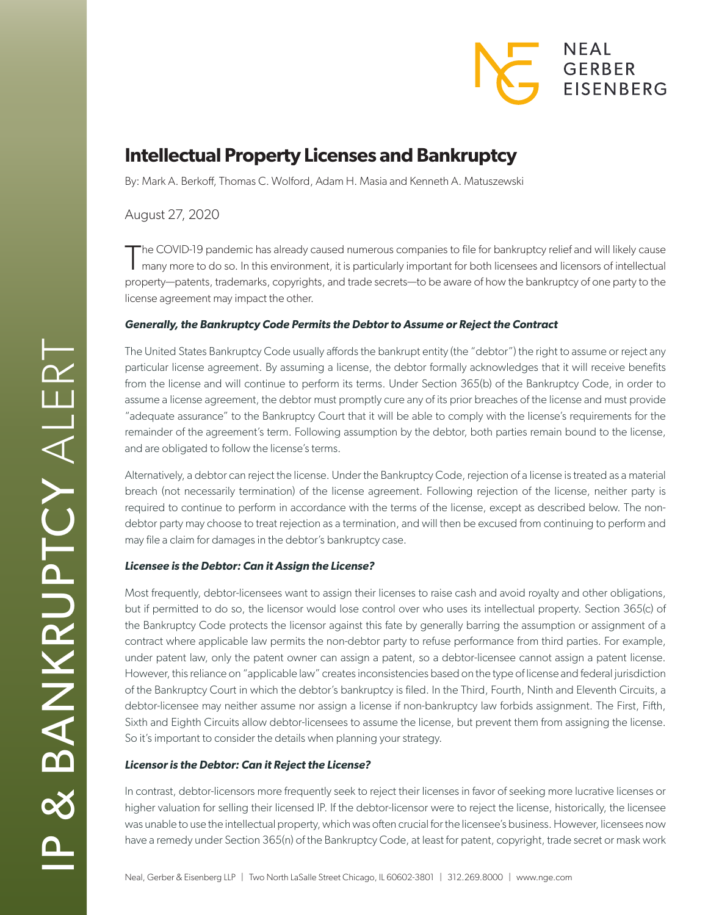# NEAL **GERBER EISENBERG**

# **Intellectual Property Licenses and Bankruptcy**

By: Mark A. Berkoff, Thomas C. Wolford, Adam H. Masia and Kenneth A. Matuszewski

August 27, 2020

The COVID-19 pandemic has already caused numerous companies to file for bankruptcy relief and will likely cause<br>Thany more to do so. In this environment, it is particularly important for both licensees and licensors of int property—patents, trademarks, copyrights, and trade secrets—to be aware of how the bankruptcy of one party to the license agreement may impact the other.

## *Generally, the Bankruptcy Code Permits the Debtor to Assume or Reject the Contract*

The United States Bankruptcy Code usually affords the bankrupt entity (the "debtor") the right to assume or reject any particular license agreement. By assuming a license, the debtor formally acknowledges that it will receive benefits from the license and will continue to perform its terms. Under Section 365(b) of the Bankruptcy Code, in order to assume a license agreement, the debtor must promptly cure any of its prior breaches of the license and must provide "adequate assurance" to the Bankruptcy Court that it will be able to comply with the license's requirements for the remainder of the agreement's term. Following assumption by the debtor, both parties remain bound to the license, and are obligated to follow the license's terms.

Alternatively, a debtor can reject the license. Under the Bankruptcy Code, rejection of a license is treated as a material breach (not necessarily termination) of the license agreement. Following rejection of the license, neither party is required to continue to perform in accordance with the terms of the license, except as described below. The nondebtor party may choose to treat rejection as a termination, and will then be excused from continuing to perform and may file a claim for damages in the debtor's bankruptcy case.

## *Licensee is the Debtor: Can it Assign the License?*

Most frequently, debtor-licensees want to assign their licenses to raise cash and avoid royalty and other obligations, but if permitted to do so, the licensor would lose control over who uses its intellectual property. Section 365(c) of the Bankruptcy Code protects the licensor against this fate by generally barring the assumption or assignment of a contract where applicable law permits the non-debtor party to refuse performance from third parties. For example, under patent law, only the patent owner can assign a patent, so a debtor-licensee cannot assign a patent license. However, this reliance on "applicable law" creates inconsistencies based on the type of license and federal jurisdiction of the Bankruptcy Court in which the debtor's bankruptcy is filed. In the Third, Fourth, Ninth and Eleventh Circuits, a debtor-licensee may neither assume nor assign a license if non-bankruptcy law forbids assignment. The First, Fifth, Sixth and Eighth Circuits allow debtor-licensees to assume the license, but prevent them from assigning the license. So it's important to consider the details when planning your strategy.

### *Licensor is the Debtor: Can it Reject the License?*

In contrast, debtor-licensors more frequently seek to reject their licenses in favor of seeking more lucrative licenses or higher valuation for selling their licensed IP. If the debtor-licensor were to reject the license, historically, the licensee was unable to use the intellectual property, which was often crucial for the licensee's business. However, licensees now have a remedy under Section 365(n) of the Bankruptcy Code, at least for patent, copyright, trade secret or mask work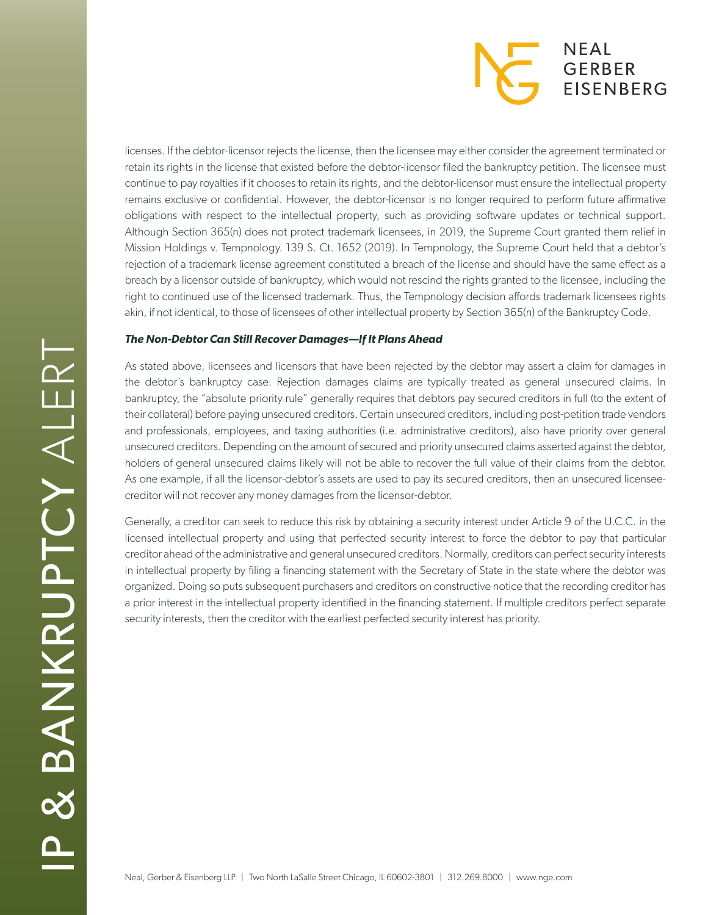

licenses. If the debtor-licensor rejects the license, then the licensee may either consider the agreement terminated or retain its rights in the license that existed before the debtor-licensor filed the bankruptcy petition. The licensee must continue to pay royalties if it chooses to retain its rights, and the debtor-licensor must ensure the intellectual property remains exclusive or confidential. However, the debtor-licensor is no longer required to perform future affirmative obligations with respect to the intellectual property, such as providing software updates or technical support. Although Section 365(n) does not protect trademark licensees, in 2019, the Supreme Court granted them relief in Mission Holdings v. Tempnology. 139 S. Ct. 1652 (2019). In Tempnology, the Supreme Court held that a debtor's rejection of a trademark license agreement constituted a breach of the license and should have the same effect as a breach by a licensor outside of bankruptcy, which would not rescind the rights granted to the licensee, including the right to continued use of the licensed trademark. Thus, the Tempnology decision affords trademark licensees rights akin, if not identical, to those of licensees of other intellectual property by Section 365(n) of the Bankruptcy Code.

### *The Non-Debtor Can Still Recover Damages—If It Plans Ahead*

As stated above, licensees and licensors that have been rejected by the debtor may assert a claim for damages in the debtor's bankruptcy case. Rejection damages claims are typically treated as general unsecured claims. In bankruptcy, the "absolute priority rule" generally requires that debtors pay secured creditors in full (to the extent of their collateral) before paying unsecured creditors. Certain unsecured creditors, including post-petition trade vendors and professionals, employees, and taxing authorities (i.e. administrative creditors), also have priority over general unsecured creditors. Depending on the amount of secured and priority unsecured claims asserted against the debtor, holders of general unsecured claims likely will not be able to recover the full value of their claims from the debtor. As one example, if all the licensor-debtor's assets are used to pay its secured creditors, then an unsecured licenseecreditor will not recover any money damages from the licensor-debtor.

Generally, a creditor can seek to reduce this risk by obtaining a security interest under Article 9 of the U.C.C. in the licensed intellectual property and using that perfected security interest to force the debtor to pay that particular creditor ahead of the administrative and general unsecured creditors. Normally, creditors can perfect security interests in intellectual property by filing a financing statement with the Secretary of State in the state where the debtor was organized. Doing so puts subsequent purchasers and creditors on constructive notice that the recording creditor has a prior interest in the intellectual property identified in the financing statement. If multiple creditors perfect separate security interests, then the creditor with the earliest perfected security interest has priority.